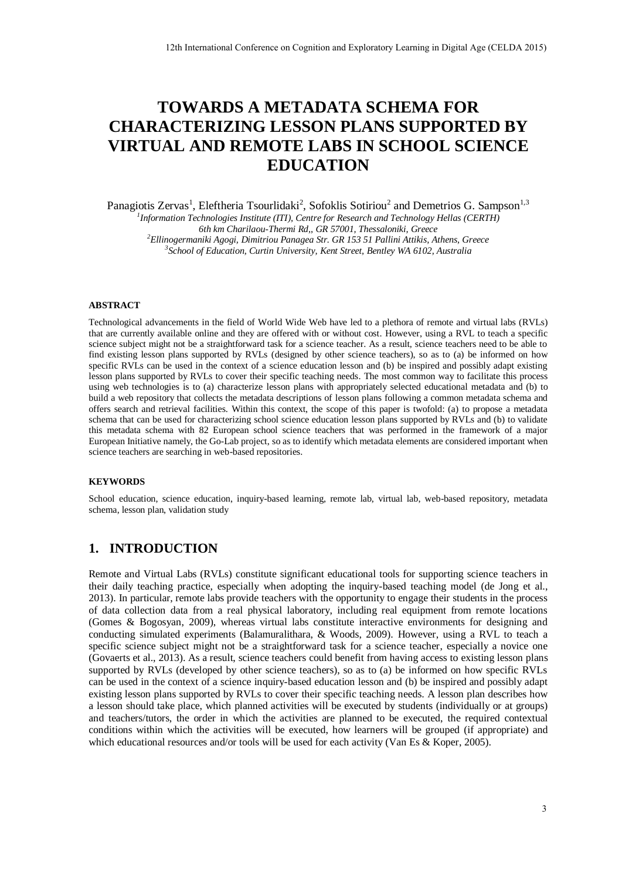# **TOWARDS A METADATA SCHEMA FOR CHARACTERIZING LESSON PLANS SUPPORTED BY VIRTUAL AND REMOTE LABS IN SCHOOL SCIENCE EDUCATION**

Panagiotis Zervas<sup>1</sup>, Eleftheria Tsourlidaki<sup>2</sup>, Sofoklis Sotiriou<sup>2</sup> and Demetrios G. Sampson<sup>1,3</sup> *1 Information Technologies Institute (ITI), Centre for Research and Technology Hellas (CERTH) 6th km Charilaou-Thermi Rd,, GR 57001, Thessaloniki, Greece <sup>2</sup>Ellinogermaniki Agogi, Dimitriou Panagea Str. GR 153 51 Pallini Attikis, Athens, Greece 3 School of Education, Curtin University, Kent Street, Bentley WA 6102, Australia* 

#### **ABSTRACT**

Technological advancements in the field of World Wide Web have led to a plethora of remote and virtual labs (RVLs) that are currently available online and they are offered with or without cost. However, using a RVL to teach a specific science subject might not be a straightforward task for a science teacher. As a result, science teachers need to be able to find existing lesson plans supported by RVLs (designed by other science teachers), so as to (a) be informed on how specific RVLs can be used in the context of a science education lesson and (b) be inspired and possibly adapt existing lesson plans supported by RVLs to cover their specific teaching needs. The most common way to facilitate this process using web technologies is to (a) characterize lesson plans with appropriately selected educational metadata and (b) to build a web repository that collects the metadata descriptions of lesson plans following a common metadata schema and offers search and retrieval facilities. Within this context, the scope of this paper is twofold: (a) to propose a metadata schema that can be used for characterizing school science education lesson plans supported by RVLs and (b) to validate this metadata schema with 82 European school science teachers that was performed in the framework of a major European Initiative namely, the Go-Lab project, so as to identify which metadata elements are considered important when science teachers are searching in web-based repositories.

#### **KEYWORDS**

School education, science education, inquiry-based learning, remote lab, virtual lab, web-based repository, metadata schema, lesson plan, validation study

# **1. INTRODUCTION**

Remote and Virtual Labs (RVLs) constitute significant educational tools for supporting science teachers in their daily teaching practice, especially when adopting the inquiry-based teaching model (de Jong et al., 2013). In particular, remote labs provide teachers with the opportunity to engage their students in the process of data collection data from a real physical laboratory, including real equipment from remote locations (Gomes & Bogosyan, 2009), whereas virtual labs constitute interactive environments for designing and conducting simulated experiments (Balamuralithara, & Woods, 2009). However, using a RVL to teach a specific science subject might not be a straightforward task for a science teacher, especially a novice one (Govaerts et al., 2013). As a result, science teachers could benefit from having access to existing lesson plans supported by RVLs (developed by other science teachers), so as to (a) be informed on how specific RVLs can be used in the context of a science inquiry-based education lesson and (b) be inspired and possibly adapt existing lesson plans supported by RVLs to cover their specific teaching needs. A lesson plan describes how a lesson should take place, which planned activities will be executed by students (individually or at groups) and teachers/tutors, the order in which the activities are planned to be executed, the required contextual conditions within which the activities will be executed, how learners will be grouped (if appropriate) and which educational resources and/or tools will be used for each activity (Van Es & Koper, 2005). 12th International Conference on Cognition and Exploratory Learning in Depthi Age (CELDA 2015)<br> **COVARDS A METADATA SCHEMA FOR**<br> **COVARDS AMETADATA SCHEMATION**<br> **COVARDS AMETADATA SCHEMATION**<br> **COVARDS AND REMOTIE LABS IN**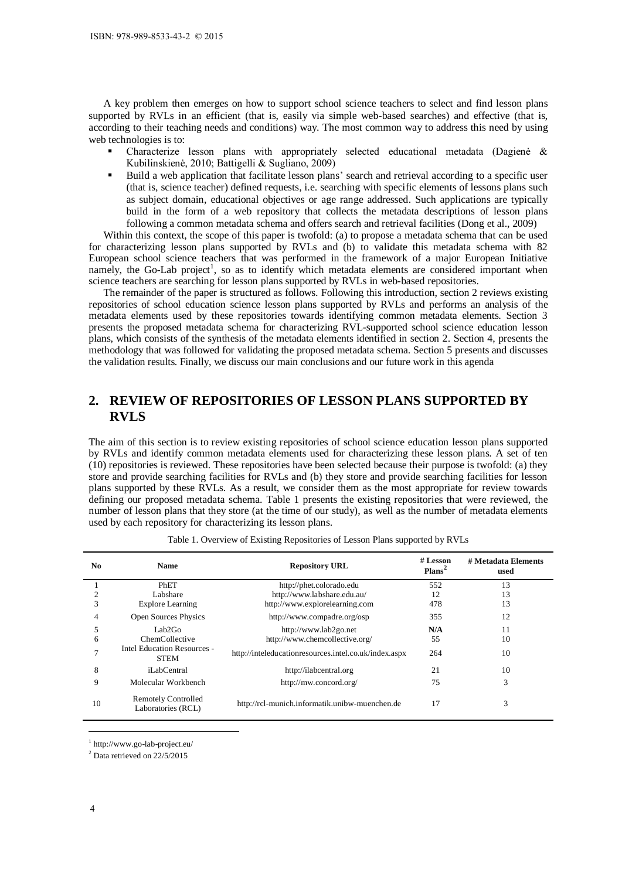- Characterize lesson plans with appropriately selected educational metadata (Dagienė & Kubilinskienė, 2010; Battigelli & Sugliano, 2009)
- Build a web application that facilitate lesson plans' search and retrieval according to a specific user (that is, science teacher) defined requests, i.e. searching with specific elements of lessons plans such as subject domain, educational objectives or age range addressed. Such applications are typically build in the form of a web repository that collects the metadata descriptions of lesson plans following a common metadata schema and offers search and retrieval facilities (Dong et al., 2009)

# **2. REVIEW OF REPOSITORIES OF LESSON PLANS SUPPORTED BY RVLS**

|        | ISBN: 978-989-8533-43-2 © 2015                                                                          |                                                                                                                                                                                                                                                                                                                                                                                                                                                                                                                                                                                                                                                                                                                                                                                                                                                                                                                                                                                                                                                                                                                                                                                                                                                                                                                                                                                                                                                                                                                                                               |                                |                             |
|--------|---------------------------------------------------------------------------------------------------------|---------------------------------------------------------------------------------------------------------------------------------------------------------------------------------------------------------------------------------------------------------------------------------------------------------------------------------------------------------------------------------------------------------------------------------------------------------------------------------------------------------------------------------------------------------------------------------------------------------------------------------------------------------------------------------------------------------------------------------------------------------------------------------------------------------------------------------------------------------------------------------------------------------------------------------------------------------------------------------------------------------------------------------------------------------------------------------------------------------------------------------------------------------------------------------------------------------------------------------------------------------------------------------------------------------------------------------------------------------------------------------------------------------------------------------------------------------------------------------------------------------------------------------------------------------------|--------------------------------|-----------------------------|
|        |                                                                                                         |                                                                                                                                                                                                                                                                                                                                                                                                                                                                                                                                                                                                                                                                                                                                                                                                                                                                                                                                                                                                                                                                                                                                                                                                                                                                                                                                                                                                                                                                                                                                                               |                                |                             |
|        |                                                                                                         |                                                                                                                                                                                                                                                                                                                                                                                                                                                                                                                                                                                                                                                                                                                                                                                                                                                                                                                                                                                                                                                                                                                                                                                                                                                                                                                                                                                                                                                                                                                                                               |                                |                             |
|        |                                                                                                         |                                                                                                                                                                                                                                                                                                                                                                                                                                                                                                                                                                                                                                                                                                                                                                                                                                                                                                                                                                                                                                                                                                                                                                                                                                                                                                                                                                                                                                                                                                                                                               |                                |                             |
| ٠      | web technologies is to:                                                                                 | A key problem then emerges on how to support school science teachers to select and find lesson plans<br>supported by RVLs in an efficient (that is, easily via simple web-based searches) and effective (that is,<br>according to their teaching needs and conditions) way. The most common way to address this need by using<br>Characterize lesson plans with appropriately selected educational metadata (Dagiene &<br>Kubilinskienė, 2010; Battigelli & Sugliano, 2009)<br>Build a web application that facilitate lesson plans' search and retrieval according to a specific user<br>(that is, science teacher) defined requests, i.e. searching with specific elements of lessons plans such<br>as subject domain, educational objectives or age range addressed. Such applications are typically<br>build in the form of a web repository that collects the metadata descriptions of lesson plans<br>following a common metadata schema and offers search and retrieval facilities (Dong et al., 2009)<br>Within this context, the scope of this paper is twofold: (a) to propose a metadata schema that can be used<br>for characterizing lesson plans supported by RVLs and (b) to validate this metadata schema with 82<br>European school science teachers that was performed in the framework of a major European Initiative<br>namely, the Go-Lab project <sup>1</sup> , so as to identify which metadata elements are considered important when<br>science teachers are searching for lesson plans supported by RVLs in web-based repositories. |                                |                             |
|        |                                                                                                         | The remainder of the paper is structured as follows. Following this introduction, section 2 reviews existing                                                                                                                                                                                                                                                                                                                                                                                                                                                                                                                                                                                                                                                                                                                                                                                                                                                                                                                                                                                                                                                                                                                                                                                                                                                                                                                                                                                                                                                  |                                |                             |
|        |                                                                                                         | repositories of school education science lesson plans supported by RVLs and performs an analysis of the<br>metadata elements used by these repositories towards identifying common metadata elements. Section 3                                                                                                                                                                                                                                                                                                                                                                                                                                                                                                                                                                                                                                                                                                                                                                                                                                                                                                                                                                                                                                                                                                                                                                                                                                                                                                                                               |                                |                             |
|        |                                                                                                         | presents the proposed metadata schema for characterizing RVL-supported school science education lesson                                                                                                                                                                                                                                                                                                                                                                                                                                                                                                                                                                                                                                                                                                                                                                                                                                                                                                                                                                                                                                                                                                                                                                                                                                                                                                                                                                                                                                                        |                                |                             |
|        |                                                                                                         | plans, which consists of the synthesis of the metadata elements identified in section 2. Section 4, presents the<br>methodology that was followed for validating the proposed metadata schema. Section 5 presents and discusses                                                                                                                                                                                                                                                                                                                                                                                                                                                                                                                                                                                                                                                                                                                                                                                                                                                                                                                                                                                                                                                                                                                                                                                                                                                                                                                               |                                |                             |
|        |                                                                                                         | the validation results. Finally, we discuss our main conclusions and our future work in this agenda                                                                                                                                                                                                                                                                                                                                                                                                                                                                                                                                                                                                                                                                                                                                                                                                                                                                                                                                                                                                                                                                                                                                                                                                                                                                                                                                                                                                                                                           |                                |                             |
|        |                                                                                                         |                                                                                                                                                                                                                                                                                                                                                                                                                                                                                                                                                                                                                                                                                                                                                                                                                                                                                                                                                                                                                                                                                                                                                                                                                                                                                                                                                                                                                                                                                                                                                               |                                |                             |
| 2.     |                                                                                                         | <b>REVIEW OF REPOSITORIES OF LESSON PLANS SUPPORTED BY</b>                                                                                                                                                                                                                                                                                                                                                                                                                                                                                                                                                                                                                                                                                                                                                                                                                                                                                                                                                                                                                                                                                                                                                                                                                                                                                                                                                                                                                                                                                                    |                                |                             |
|        | <b>RVLS</b>                                                                                             |                                                                                                                                                                                                                                                                                                                                                                                                                                                                                                                                                                                                                                                                                                                                                                                                                                                                                                                                                                                                                                                                                                                                                                                                                                                                                                                                                                                                                                                                                                                                                               |                                |                             |
|        | plans supported by these RVLs. As a result, we consider them as the most appropriate for review towards | The aim of this section is to review existing repositories of school science education lesson plans supported<br>by RVLs and identify common metadata elements used for characterizing these lesson plans. A set of ten<br>(10) repositories is reviewed. These repositories have been selected because their purpose is twofold: (a) they<br>store and provide searching facilities for RVLs and (b) they store and provide searching facilities for lesson                                                                                                                                                                                                                                                                                                                                                                                                                                                                                                                                                                                                                                                                                                                                                                                                                                                                                                                                                                                                                                                                                                  |                                |                             |
|        |                                                                                                         | defining our proposed metadata schema. Table 1 presents the existing repositories that were reviewed, the<br>number of lesson plans that they store (at the time of our study), as well as the number of metadata elements<br>used by each repository for characterizing its lesson plans.<br>Table 1. Overview of Existing Repositories of Lesson Plans supported by RVLs                                                                                                                                                                                                                                                                                                                                                                                                                                                                                                                                                                                                                                                                                                                                                                                                                                                                                                                                                                                                                                                                                                                                                                                    |                                |                             |
|        |                                                                                                         |                                                                                                                                                                                                                                                                                                                                                                                                                                                                                                                                                                                                                                                                                                                                                                                                                                                                                                                                                                                                                                                                                                                                                                                                                                                                                                                                                                                                                                                                                                                                                               |                                |                             |
| No     | Name                                                                                                    | <b>Repository URL</b>                                                                                                                                                                                                                                                                                                                                                                                                                                                                                                                                                                                                                                                                                                                                                                                                                                                                                                                                                                                                                                                                                                                                                                                                                                                                                                                                                                                                                                                                                                                                         | # Lesson<br>Plans <sup>2</sup> | # Metadata Elements<br>used |
| 1      | PhET                                                                                                    | http://phet.colorado.edu                                                                                                                                                                                                                                                                                                                                                                                                                                                                                                                                                                                                                                                                                                                                                                                                                                                                                                                                                                                                                                                                                                                                                                                                                                                                                                                                                                                                                                                                                                                                      | 552                            | 13                          |
| 2      | Labshare                                                                                                | http://www.labshare.edu.au/                                                                                                                                                                                                                                                                                                                                                                                                                                                                                                                                                                                                                                                                                                                                                                                                                                                                                                                                                                                                                                                                                                                                                                                                                                                                                                                                                                                                                                                                                                                                   | 12                             | 13                          |
| 3      | <b>Explore Learning</b>                                                                                 | http://www.explorelearning.com                                                                                                                                                                                                                                                                                                                                                                                                                                                                                                                                                                                                                                                                                                                                                                                                                                                                                                                                                                                                                                                                                                                                                                                                                                                                                                                                                                                                                                                                                                                                | 478                            | 13                          |
| 4      | Open Sources Physics                                                                                    | http://www.compadre.org/osp                                                                                                                                                                                                                                                                                                                                                                                                                                                                                                                                                                                                                                                                                                                                                                                                                                                                                                                                                                                                                                                                                                                                                                                                                                                                                                                                                                                                                                                                                                                                   | 355                            | 12                          |
| 5      | Lab2Go                                                                                                  | http://www.lab2go.net                                                                                                                                                                                                                                                                                                                                                                                                                                                                                                                                                                                                                                                                                                                                                                                                                                                                                                                                                                                                                                                                                                                                                                                                                                                                                                                                                                                                                                                                                                                                         | N/A                            | 11                          |
| 6<br>7 | ChemCollective<br><b>Intel Education Resources -</b>                                                    | http://www.chemcollective.org/<br>http://inteleducationresources.intel.co.uk/index.aspx                                                                                                                                                                                                                                                                                                                                                                                                                                                                                                                                                                                                                                                                                                                                                                                                                                                                                                                                                                                                                                                                                                                                                                                                                                                                                                                                                                                                                                                                       | 55<br>264                      | 10<br>10                    |
|        | <b>STEM</b>                                                                                             |                                                                                                                                                                                                                                                                                                                                                                                                                                                                                                                                                                                                                                                                                                                                                                                                                                                                                                                                                                                                                                                                                                                                                                                                                                                                                                                                                                                                                                                                                                                                                               |                                |                             |
| 8      | iLabCentral                                                                                             | http://ilabcentral.org                                                                                                                                                                                                                                                                                                                                                                                                                                                                                                                                                                                                                                                                                                                                                                                                                                                                                                                                                                                                                                                                                                                                                                                                                                                                                                                                                                                                                                                                                                                                        | 21                             | 10                          |
| 9      | Molecular Workbench                                                                                     | http://mw.concord.org/                                                                                                                                                                                                                                                                                                                                                                                                                                                                                                                                                                                                                                                                                                                                                                                                                                                                                                                                                                                                                                                                                                                                                                                                                                                                                                                                                                                                                                                                                                                                        | 75                             | 3                           |
| 10     | <b>Remotely Controlled</b><br>Laboratories (RCL)                                                        | http://rcl-munich.informatik.unibw-muenchen.de                                                                                                                                                                                                                                                                                                                                                                                                                                                                                                                                                                                                                                                                                                                                                                                                                                                                                                                                                                                                                                                                                                                                                                                                                                                                                                                                                                                                                                                                                                                | 17                             | 3                           |
| 4      | http://www.go-lab-project.eu/<br>$2$ Data retrieved on 22/5/2015                                        |                                                                                                                                                                                                                                                                                                                                                                                                                                                                                                                                                                                                                                                                                                                                                                                                                                                                                                                                                                                                                                                                                                                                                                                                                                                                                                                                                                                                                                                                                                                                                               |                                |                             |

|  |  |  | Table 1. Overview of Existing Repositories of Lesson Plans supported by RVLs |
|--|--|--|------------------------------------------------------------------------------|
|  |  |  |                                                                              |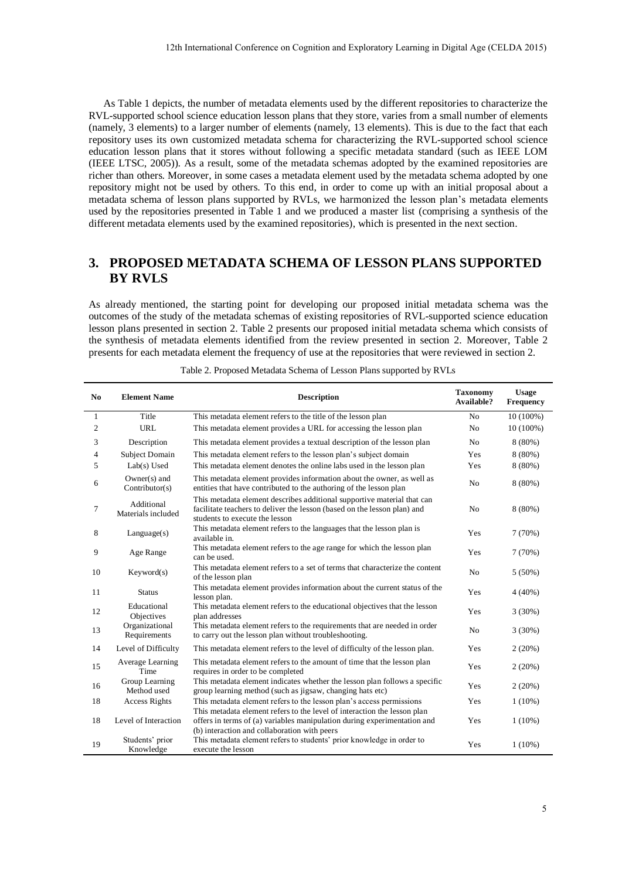# **3. PROPOSED METADATA SCHEMA OF LESSON PLANS SUPPORTED BY RVLS**

|              |                                         | 12th International Conference on Cognition and Exploratory Learning in Digital Age (CELDA 2015)                                                                                                                                                                                                                                                                                                                                                                                                                                                                                                                                                                                                                                                                                                                                                                                                                                                                                                                                                                                                                                                                                                                                    |                               |                                  |
|--------------|-----------------------------------------|------------------------------------------------------------------------------------------------------------------------------------------------------------------------------------------------------------------------------------------------------------------------------------------------------------------------------------------------------------------------------------------------------------------------------------------------------------------------------------------------------------------------------------------------------------------------------------------------------------------------------------------------------------------------------------------------------------------------------------------------------------------------------------------------------------------------------------------------------------------------------------------------------------------------------------------------------------------------------------------------------------------------------------------------------------------------------------------------------------------------------------------------------------------------------------------------------------------------------------|-------------------------------|----------------------------------|
|              |                                         | As Table 1 depicts, the number of metadata elements used by the different repositories to characterize the<br>RVL-supported school science education lesson plans that they store, varies from a small number of elements<br>(namely, 3 elements) to a larger number of elements (namely, 13 elements). This is due to the fact that each<br>repository uses its own customized metadata schema for characterizing the RVL-supported school science<br>education lesson plans that it stores without following a specific metadata standard (such as IEEE LOM<br>(IEEE LTSC, 2005)). As a result, some of the metadata schemas adopted by the examined repositories are<br>richer than others. Moreover, in some cases a metadata element used by the metadata schema adopted by one<br>repository might not be used by others. To this end, in order to come up with an initial proposal about a<br>metadata schema of lesson plans supported by RVLs, we harmonized the lesson plan's metadata elements<br>used by the repositories presented in Table 1 and we produced a master list (comprising a synthesis of the<br>different metadata elements used by the examined repositories), which is presented in the next section. |                               |                                  |
| 3.           | <b>BY RVLS</b>                          | <b>PROPOSED METADATA SCHEMA OF LESSON PLANS SUPPORTED</b><br>As already mentioned, the starting point for developing our proposed initial metadata schema was the<br>outcomes of the study of the metadata schemas of existing repositories of RVL-supported science education                                                                                                                                                                                                                                                                                                                                                                                                                                                                                                                                                                                                                                                                                                                                                                                                                                                                                                                                                     |                               |                                  |
|              |                                         | lesson plans presented in section 2. Table 2 presents our proposed initial metadata schema which consists of<br>the synthesis of metadata elements identified from the review presented in section 2. Moreover, Table 2<br>presents for each metadata element the frequency of use at the repositories that were reviewed in section 2.<br>Table 2. Proposed Metadata Schema of Lesson Plans supported by RVLs                                                                                                                                                                                                                                                                                                                                                                                                                                                                                                                                                                                                                                                                                                                                                                                                                     |                               |                                  |
| No           | <b>Element Name</b>                     | <b>Description</b>                                                                                                                                                                                                                                                                                                                                                                                                                                                                                                                                                                                                                                                                                                                                                                                                                                                                                                                                                                                                                                                                                                                                                                                                                 | <b>Taxonomy</b><br>Available? | <b>Usage</b><br><b>Frequency</b> |
| $\mathbf{1}$ | Title                                   | This metadata element refers to the title of the lesson plan                                                                                                                                                                                                                                                                                                                                                                                                                                                                                                                                                                                                                                                                                                                                                                                                                                                                                                                                                                                                                                                                                                                                                                       | No                            | 10 (100%)                        |
| 2            | URL                                     | This metadata element provides a URL for accessing the lesson plan                                                                                                                                                                                                                                                                                                                                                                                                                                                                                                                                                                                                                                                                                                                                                                                                                                                                                                                                                                                                                                                                                                                                                                 | No                            | 10 (100%)                        |
| 3            | Description                             | This metadata element provides a textual description of the lesson plan                                                                                                                                                                                                                                                                                                                                                                                                                                                                                                                                                                                                                                                                                                                                                                                                                                                                                                                                                                                                                                                                                                                                                            | N <sub>0</sub>                | 8 (80%)                          |
| 4<br>5       | Subject Domain<br>Lab(s) Used           | This metadata element refers to the lesson plan's subject domain<br>This metadata element denotes the online labs used in the lesson plan                                                                                                                                                                                                                                                                                                                                                                                                                                                                                                                                                                                                                                                                                                                                                                                                                                                                                                                                                                                                                                                                                          | Yes<br>Yes                    | 8 (80%)<br>8 (80%)               |
| 6            | $Owner(s)$ and<br>Contributor(s)        | This metadata element provides information about the owner, as well as<br>entities that have contributed to the authoring of the lesson plan                                                                                                                                                                                                                                                                                                                                                                                                                                                                                                                                                                                                                                                                                                                                                                                                                                                                                                                                                                                                                                                                                       | No                            | 8 (80%)                          |
| 7            | Additional<br>Materials included        | This metadata element describes additional supportive material that can<br>facilitate teachers to deliver the lesson (based on the lesson plan) and<br>students to execute the lesson                                                                                                                                                                                                                                                                                                                                                                                                                                                                                                                                                                                                                                                                                                                                                                                                                                                                                                                                                                                                                                              | No                            | 8 (80%)                          |
| $\,8\,$      | Language(s)                             | This metadata element refers to the languages that the lesson plan is<br>available in.                                                                                                                                                                                                                                                                                                                                                                                                                                                                                                                                                                                                                                                                                                                                                                                                                                                                                                                                                                                                                                                                                                                                             | Yes                           | 7(70%)                           |
| 9            | Age Range                               | This metadata element refers to the age range for which the lesson plan<br>can be used.                                                                                                                                                                                                                                                                                                                                                                                                                                                                                                                                                                                                                                                                                                                                                                                                                                                                                                                                                                                                                                                                                                                                            | Yes                           | 7(70%)                           |
| 10           | Keyword(s)                              | This metadata element refers to a set of terms that characterize the content                                                                                                                                                                                                                                                                                                                                                                                                                                                                                                                                                                                                                                                                                                                                                                                                                                                                                                                                                                                                                                                                                                                                                       | No                            | $5(50\%)$                        |
| 11           | <b>Status</b>                           | of the lesson plan<br>This metadata element provides information about the current status of the                                                                                                                                                                                                                                                                                                                                                                                                                                                                                                                                                                                                                                                                                                                                                                                                                                                                                                                                                                                                                                                                                                                                   | Yes                           | 4 (40%)                          |
|              | Educational                             | lesson plan.<br>This metadata element refers to the educational objectives that the lesson                                                                                                                                                                                                                                                                                                                                                                                                                                                                                                                                                                                                                                                                                                                                                                                                                                                                                                                                                                                                                                                                                                                                         |                               |                                  |
| 12<br>13     | Objectives<br>Organizational            | plan addresses<br>This metadata element refers to the requirements that are needed in order                                                                                                                                                                                                                                                                                                                                                                                                                                                                                                                                                                                                                                                                                                                                                                                                                                                                                                                                                                                                                                                                                                                                        | Yes<br>No                     | 3(30%)<br>3(30%)                 |
| 14           | Requirements<br>Level of Difficulty     | to carry out the lesson plan without troubleshooting.<br>This metadata element refers to the level of difficulty of the lesson plan.                                                                                                                                                                                                                                                                                                                                                                                                                                                                                                                                                                                                                                                                                                                                                                                                                                                                                                                                                                                                                                                                                               | Yes                           | 2(20%)                           |
| 15           | Average Learning                        | This metadata element refers to the amount of time that the lesson plan                                                                                                                                                                                                                                                                                                                                                                                                                                                                                                                                                                                                                                                                                                                                                                                                                                                                                                                                                                                                                                                                                                                                                            | Yes                           | 2(20%)                           |
|              | Time<br>Group Learning                  | requires in order to be completed<br>This metadata element indicates whether the lesson plan follows a specific                                                                                                                                                                                                                                                                                                                                                                                                                                                                                                                                                                                                                                                                                                                                                                                                                                                                                                                                                                                                                                                                                                                    |                               |                                  |
| 16           | Method used                             | group learning method (such as jigsaw, changing hats etc)                                                                                                                                                                                                                                                                                                                                                                                                                                                                                                                                                                                                                                                                                                                                                                                                                                                                                                                                                                                                                                                                                                                                                                          | Yes                           | 2(20%)                           |
| 18           | <b>Access Rights</b>                    | This metadata element refers to the lesson plan's access permissions<br>This metadata element refers to the level of interaction the lesson plan                                                                                                                                                                                                                                                                                                                                                                                                                                                                                                                                                                                                                                                                                                                                                                                                                                                                                                                                                                                                                                                                                   | Yes                           | $1(10\%)$                        |
| 18           | Level of Interaction<br>Students' prior | offers in terms of (a) variables manipulation during experimentation and<br>(b) interaction and collaboration with peers<br>This metadata element refers to students' prior knowledge in order to                                                                                                                                                                                                                                                                                                                                                                                                                                                                                                                                                                                                                                                                                                                                                                                                                                                                                                                                                                                                                                  | Yes                           | $1(10\%)$                        |
| 19           | Knowledge                               | execute the lesson                                                                                                                                                                                                                                                                                                                                                                                                                                                                                                                                                                                                                                                                                                                                                                                                                                                                                                                                                                                                                                                                                                                                                                                                                 | Yes                           | $1(10\%)$                        |
|              |                                         |                                                                                                                                                                                                                                                                                                                                                                                                                                                                                                                                                                                                                                                                                                                                                                                                                                                                                                                                                                                                                                                                                                                                                                                                                                    |                               | 5                                |

Table 2. Proposed Metadata Schema of Lesson Plans supported by RVLs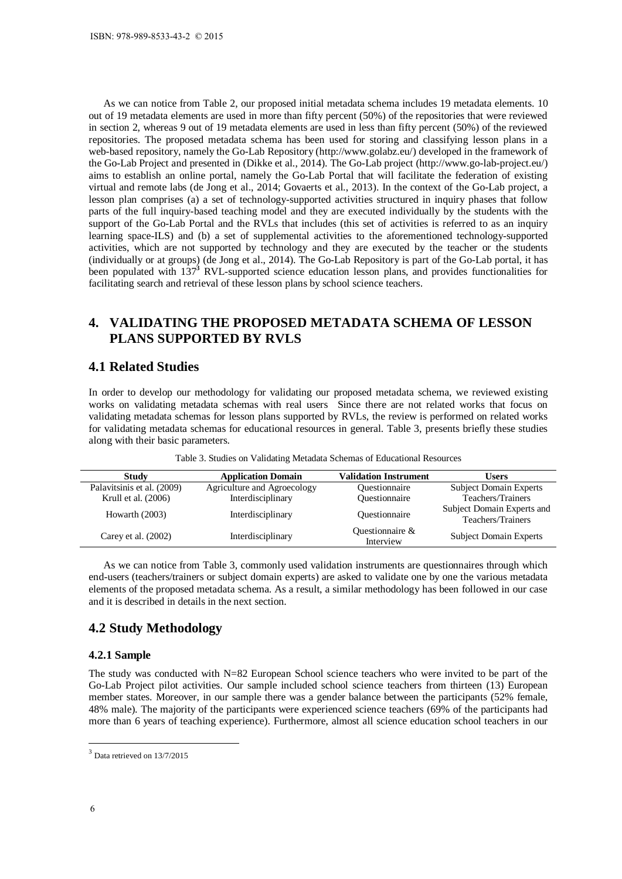As we can notice from Table 2, our proposed initial metadata schema includes 19 metadata elements. 10 out of 19 metadata elements are used in more than fifty percent (50%) of the repositories that were reviewed in section 2, whereas 9 out of 19 metadata elements are used in less than fifty percent (50%) of the reviewed repositories. The proposed metadata schema has been used for storing and classifying lesson plans in a web-based repository, namely the Go-Lab Repository (http://www.golabz.eu/) developed in the framework of the Go-Lab Project and presented in (Dikke et al., 2014). The Go-Lab project (http://www.go-lab-project.eu/) aims to establish an online portal, namely the Go-Lab Portal that will facilitate the federation of existing virtual and remote labs (de Jong et al., 2014; Govaerts et al., 2013). In the context of the Go-Lab project, a lesson plan comprises (a) a set of technology-supported activities structured in inquiry phases that follow parts of the full inquiry-based teaching model and they are executed individually by the students with the support of the Go-Lab Portal and the RVLs that includes (this set of activities is referred to as an inquiry learning space-ILS) and (b) a set of supplemental activities to the aforementioned technology-supported activities, which are not supported by technology and they are executed by the teacher or the students (individually or at groups) (de Jong et al., 2014). The Go-Lab Repository is part of the Go-Lab portal, it has been populated with 137**<sup>3</sup>** RVL-supported science education lesson plans, and provides functionalities for facilitating search and retrieval of these lesson plans by school science teachers. ISBN: 978-989-8533-43-2 © 2015<br>
As we can notice from Table<br>
out of 19 metadata elements are<br>
nection 2, whereas 9 out of 19<br>
reprosistic as. The proposed meta-<br>
nexcel of 19 metadata elements are<br>
web-based repository, n

# **4. VALIDATING THE PROPOSED METADATA SCHEMA OF LESSON PLANS SUPPORTED BY RVLS**

### **4.1 Related Studies**

In order to develop our methodology for validating our proposed metadata schema, we reviewed existing works on validating metadata schemas with real users Since there are not related works that focus on validating metadata schemas for lesson plans supported by RVLs, the review is performed on related works for validating metadata schemas for educational resources in general. Table 3, presents briefly these studies along with their basic parameters.

| Study                      | <b>Application Domain</b>   | <b>Validation Instrument</b>       | Users                                           |
|----------------------------|-----------------------------|------------------------------------|-------------------------------------------------|
| Palavitsinis et al. (2009) | Agriculture and Agroecology | <i><b>Ouestionnaire</b></i>        | <b>Subject Domain Experts</b>                   |
| Krull et al. (2006)        | Interdisciplinary           | Questionnaire                      | Teachers/Trainers                               |
| Howarth $(2003)$           | Interdisciplinary           | <i><u><b>Ouestionnaire</b></u></i> | Subject Domain Experts and<br>Teachers/Trainers |
| Carey et al. $(2002)$      | Interdisciplinary           | Questionnaire &<br>Interview       | <b>Subject Domain Experts</b>                   |

Table 3. Studies on Validating Metadata Schemas of Educational Resources

As we can notice from Table 3, commonly used validation instruments are questionnaires through which end-users (teachers/trainers or subject domain experts) are asked to validate one by one the various metadata elements of the proposed metadata schema. As a result, a similar methodology has been followed in our case and it is described in details in the next section.

## **4.2 Study Methodology**

#### **4.2.1 Sample**

The study was conducted with  $N=82$  European School science teachers who were invited to be part of the Go-Lab Project pilot activities. Our sample included school science teachers from thirteen (13) European member states. Moreover, in our sample there was a gender balance between the participants (52% female, 48% male). The majority of the participants were experienced science teachers (69% of the participants had more than 6 years of teaching experience). Furthermore, almost all science education school teachers in our

 $\overline{a}$ 

 $3$  Data retrieved on 13/7/2015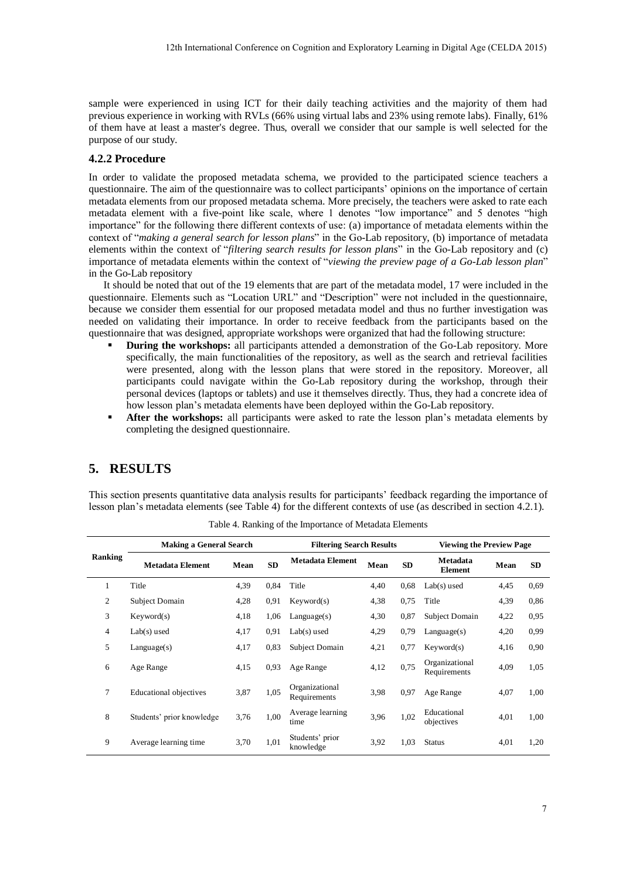#### **4.2.2 Procedure**

- **During the workshops:** all participants attended a demonstration of the Go-Lab repository. More specifically, the main functionalities of the repository, as well as the search and retrieval facilities were presented, along with the lesson plans that were stored in the repository. Moreover, all participants could navigate within the Go-Lab repository during the workshop, through their personal devices (laptops or tablets) and use it themselves directly. Thus, they had a concrete idea of how lesson plan's metadata elements have been deployed within the Go-Lab repository.
- **After the workshops:** all participants were asked to rate the lesson plan's metadata elements by completing the designed questionnaire.

# **5. RESULTS**

|                |                                                                                                                                                                                                                                                                                                                                                                                                                                                                                                                                                                                                                                                                                                                                                                                                                                                                                                                                                                                                                                                                                                                                                                                                                                                                                                                                                                                                                                                                                                                                                                                                                                                                                                                                                                                                                                                                                                                                                                                                                                                                                                                                                                                                                                                                                                                                                                                                                                                                                                                  |      |            | 12th International Conference on Cognition and Exploratory Learning in Digital Age (CELDA 2015) |      |      |                                 |      |            |
|----------------|------------------------------------------------------------------------------------------------------------------------------------------------------------------------------------------------------------------------------------------------------------------------------------------------------------------------------------------------------------------------------------------------------------------------------------------------------------------------------------------------------------------------------------------------------------------------------------------------------------------------------------------------------------------------------------------------------------------------------------------------------------------------------------------------------------------------------------------------------------------------------------------------------------------------------------------------------------------------------------------------------------------------------------------------------------------------------------------------------------------------------------------------------------------------------------------------------------------------------------------------------------------------------------------------------------------------------------------------------------------------------------------------------------------------------------------------------------------------------------------------------------------------------------------------------------------------------------------------------------------------------------------------------------------------------------------------------------------------------------------------------------------------------------------------------------------------------------------------------------------------------------------------------------------------------------------------------------------------------------------------------------------------------------------------------------------------------------------------------------------------------------------------------------------------------------------------------------------------------------------------------------------------------------------------------------------------------------------------------------------------------------------------------------------------------------------------------------------------------------------------------------------|------|------------|-------------------------------------------------------------------------------------------------|------|------|---------------------------------|------|------------|
|                | sample were experienced in using ICT for their daily teaching activities and the majority of them had<br>previous experience in working with RVLs (66% using virtual labs and 23% using remote labs). Finally, 61%<br>of them have at least a master's degree. Thus, overall we consider that our sample is well selected for the<br>purpose of our study.                                                                                                                                                                                                                                                                                                                                                                                                                                                                                                                                                                                                                                                                                                                                                                                                                                                                                                                                                                                                                                                                                                                                                                                                                                                                                                                                                                                                                                                                                                                                                                                                                                                                                                                                                                                                                                                                                                                                                                                                                                                                                                                                                       |      |            |                                                                                                 |      |      |                                 |      |            |
|                | 4.2.2 Procedure                                                                                                                                                                                                                                                                                                                                                                                                                                                                                                                                                                                                                                                                                                                                                                                                                                                                                                                                                                                                                                                                                                                                                                                                                                                                                                                                                                                                                                                                                                                                                                                                                                                                                                                                                                                                                                                                                                                                                                                                                                                                                                                                                                                                                                                                                                                                                                                                                                                                                                  |      |            |                                                                                                 |      |      |                                 |      |            |
| П              | In order to validate the proposed metadata schema, we provided to the participated science teachers a<br>questionnaire. The aim of the questionnaire was to collect participants' opinions on the importance of certain<br>metadata elements from our proposed metadata schema. More precisely, the teachers were asked to rate each<br>metadata element with a five-point like scale, where 1 denotes "low importance" and 5 denotes "high<br>importance" for the following there different contexts of use: (a) importance of metadata elements within the<br>context of "making a general search for lesson plans" in the Go-Lab repository, (b) importance of metadata<br>elements within the context of "filtering search results for lesson plans" in the Go-Lab repository and (c)<br>importance of metadata elements within the context of "viewing the preview page of a Go-Lab lesson plan"<br>in the Go-Lab repository<br>It should be noted that out of the 19 elements that are part of the metadata model, 17 were included in the<br>questionnaire. Elements such as "Location URL" and "Description" were not included in the questionnaire,<br>because we consider them essential for our proposed metadata model and thus no further investigation was<br>needed on validating their importance. In order to receive feedback from the participants based on the<br>questionnaire that was designed, appropriate workshops were organized that had the following structure:<br>During the workshops: all participants attended a demonstration of the Go-Lab repository. More<br>specifically, the main functionalities of the repository, as well as the search and retrieval facilities<br>were presented, along with the lesson plans that were stored in the repository. Moreover, all<br>participants could navigate within the Go-Lab repository during the workshop, through their<br>personal devices (laptops or tablets) and use it themselves directly. Thus, they had a concrete idea of<br>how lesson plan's metadata elements have been deployed within the Go-Lab repository.<br>After the workshops: all participants were asked to rate the lesson plan's metadata elements by<br>completing the designed questionnaire.<br>5. RESULTS<br>This section presents quantitative data analysis results for participants' feedback regarding the importance of<br>lesson plan's metadata elements (see Table 4) for the different contexts of use (as described in section 4.2.1). |      |            |                                                                                                 |      |      |                                 |      |            |
|                |                                                                                                                                                                                                                                                                                                                                                                                                                                                                                                                                                                                                                                                                                                                                                                                                                                                                                                                                                                                                                                                                                                                                                                                                                                                                                                                                                                                                                                                                                                                                                                                                                                                                                                                                                                                                                                                                                                                                                                                                                                                                                                                                                                                                                                                                                                                                                                                                                                                                                                                  |      |            | Table 4. Ranking of the Importance of Metadata Elements                                         |      |      |                                 |      |            |
|                | <b>Making a General Search</b>                                                                                                                                                                                                                                                                                                                                                                                                                                                                                                                                                                                                                                                                                                                                                                                                                                                                                                                                                                                                                                                                                                                                                                                                                                                                                                                                                                                                                                                                                                                                                                                                                                                                                                                                                                                                                                                                                                                                                                                                                                                                                                                                                                                                                                                                                                                                                                                                                                                                                   |      |            | <b>Filtering Search Results</b>                                                                 |      |      | <b>Viewing the Preview Page</b> |      |            |
| Ranking        | <b>Metadata Element</b>                                                                                                                                                                                                                                                                                                                                                                                                                                                                                                                                                                                                                                                                                                                                                                                                                                                                                                                                                                                                                                                                                                                                                                                                                                                                                                                                                                                                                                                                                                                                                                                                                                                                                                                                                                                                                                                                                                                                                                                                                                                                                                                                                                                                                                                                                                                                                                                                                                                                                          | Mean | ${\bf SD}$ | <b>Metadata Element</b>                                                                         | Mean | SD   | Metadata<br>Element             | Mean | ${\bf SD}$ |
| $\mathbf{1}$   | Title                                                                                                                                                                                                                                                                                                                                                                                                                                                                                                                                                                                                                                                                                                                                                                                                                                                                                                                                                                                                                                                                                                                                                                                                                                                                                                                                                                                                                                                                                                                                                                                                                                                                                                                                                                                                                                                                                                                                                                                                                                                                                                                                                                                                                                                                                                                                                                                                                                                                                                            | 4,39 | 0,84       | Title                                                                                           | 4,40 | 0,68 | $Lab(s)$ used                   | 4,45 | 0,69       |
| $\sqrt{2}$     | Subject Domain                                                                                                                                                                                                                                                                                                                                                                                                                                                                                                                                                                                                                                                                                                                                                                                                                                                                                                                                                                                                                                                                                                                                                                                                                                                                                                                                                                                                                                                                                                                                                                                                                                                                                                                                                                                                                                                                                                                                                                                                                                                                                                                                                                                                                                                                                                                                                                                                                                                                                                   | 4,28 | 0,91       | Keyword(s)                                                                                      | 4,38 | 0,75 | Title                           | 4,39 | 0,86       |
| 3              | Keyword(s)                                                                                                                                                                                                                                                                                                                                                                                                                                                                                                                                                                                                                                                                                                                                                                                                                                                                                                                                                                                                                                                                                                                                                                                                                                                                                                                                                                                                                                                                                                                                                                                                                                                                                                                                                                                                                                                                                                                                                                                                                                                                                                                                                                                                                                                                                                                                                                                                                                                                                                       | 4,18 | 1,06       | Language(s)                                                                                     | 4,30 | 0,87 | Subject Domain                  | 4,22 | 0,95       |
| $\overline{4}$ | $Lab(s)$ used                                                                                                                                                                                                                                                                                                                                                                                                                                                                                                                                                                                                                                                                                                                                                                                                                                                                                                                                                                                                                                                                                                                                                                                                                                                                                                                                                                                                                                                                                                                                                                                                                                                                                                                                                                                                                                                                                                                                                                                                                                                                                                                                                                                                                                                                                                                                                                                                                                                                                                    | 4,17 | 0,91       | $Lab(s)$ used                                                                                   | 4,29 | 0,79 | Language(s)                     | 4,20 | 0,99       |
| 5              | Language(s)                                                                                                                                                                                                                                                                                                                                                                                                                                                                                                                                                                                                                                                                                                                                                                                                                                                                                                                                                                                                                                                                                                                                                                                                                                                                                                                                                                                                                                                                                                                                                                                                                                                                                                                                                                                                                                                                                                                                                                                                                                                                                                                                                                                                                                                                                                                                                                                                                                                                                                      | 4,17 | 0,83       | Subject Domain                                                                                  | 4,21 | 0,77 | Keyword(s)                      | 4,16 | 0,90       |
| 6              | Age Range                                                                                                                                                                                                                                                                                                                                                                                                                                                                                                                                                                                                                                                                                                                                                                                                                                                                                                                                                                                                                                                                                                                                                                                                                                                                                                                                                                                                                                                                                                                                                                                                                                                                                                                                                                                                                                                                                                                                                                                                                                                                                                                                                                                                                                                                                                                                                                                                                                                                                                        | 4,15 | 0,93       | Age Range                                                                                       | 4,12 | 0,75 | Organizational<br>Requirements  | 4,09 | 1,05       |
| 7              | <b>Educational objectives</b>                                                                                                                                                                                                                                                                                                                                                                                                                                                                                                                                                                                                                                                                                                                                                                                                                                                                                                                                                                                                                                                                                                                                                                                                                                                                                                                                                                                                                                                                                                                                                                                                                                                                                                                                                                                                                                                                                                                                                                                                                                                                                                                                                                                                                                                                                                                                                                                                                                                                                    | 3,87 | 1,05       | Organizational<br>Requirements                                                                  | 3,98 | 0,97 | Age Range                       | 4,07 | 1,00       |
| 8              | Students' prior knowledge                                                                                                                                                                                                                                                                                                                                                                                                                                                                                                                                                                                                                                                                                                                                                                                                                                                                                                                                                                                                                                                                                                                                                                                                                                                                                                                                                                                                                                                                                                                                                                                                                                                                                                                                                                                                                                                                                                                                                                                                                                                                                                                                                                                                                                                                                                                                                                                                                                                                                        | 3,76 | 1,00       | Average learning<br>time                                                                        | 3,96 | 1,02 | Educational<br>objectives       | 4,01 | 1,00       |
| 9              | Average learning time                                                                                                                                                                                                                                                                                                                                                                                                                                                                                                                                                                                                                                                                                                                                                                                                                                                                                                                                                                                                                                                                                                                                                                                                                                                                                                                                                                                                                                                                                                                                                                                                                                                                                                                                                                                                                                                                                                                                                                                                                                                                                                                                                                                                                                                                                                                                                                                                                                                                                            | 3,70 | 1,01       | Students' prior<br>knowledge                                                                    | 3,92 | 1,03 | <b>Status</b>                   | 4,01 | 1,20       |
|                |                                                                                                                                                                                                                                                                                                                                                                                                                                                                                                                                                                                                                                                                                                                                                                                                                                                                                                                                                                                                                                                                                                                                                                                                                                                                                                                                                                                                                                                                                                                                                                                                                                                                                                                                                                                                                                                                                                                                                                                                                                                                                                                                                                                                                                                                                                                                                                                                                                                                                                                  |      |            |                                                                                                 |      |      |                                 |      |            |

Table 4. Ranking of the Importance of Metadata Elements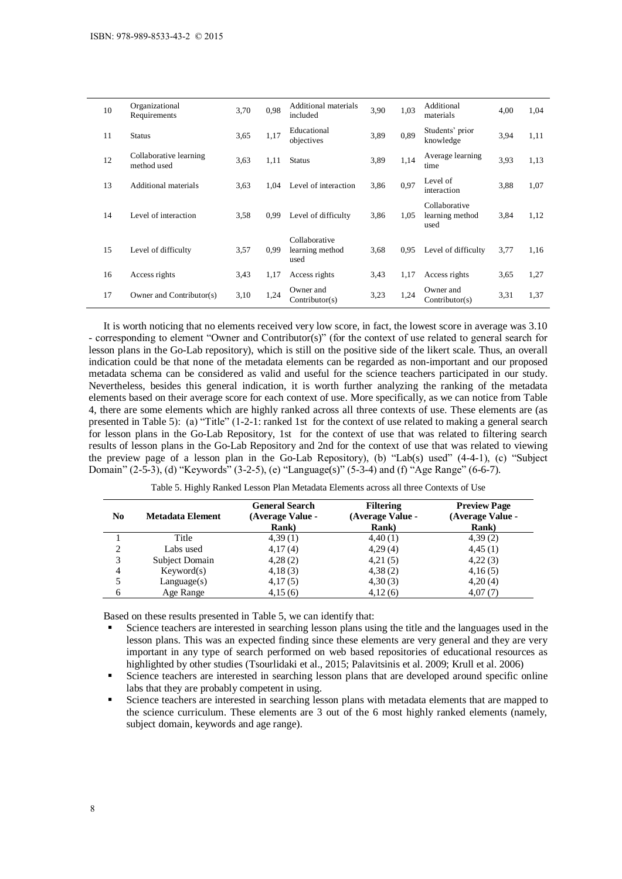| N <sub>0</sub><br>$\mathbf{1}$<br>$\boldsymbol{2}$<br>3<br>$\overline{4}$<br>5<br>6 | <b>Metadata Element</b><br>Title<br>Labs used<br>Subject Domain<br>Keyword(s)<br>Language(s)<br>Age Range<br>Based on these results presented in Table 5, we can identify that:<br>Science teachers are interested in searching lesson plans using the title and the languages used in the<br>lesson plans. This was an expected finding since these elements are very general and they are very<br>important in any type of search performed on web based repositories of educational resources as                                                                                                                                                                                                                                                                                                                                                                                                                                                                                                                                                                                                                                                                                                                                                                                                                                                                                                                                                                              |              | <b>Rank</b> )<br>4,39(1)<br>4,17(4)<br>4,28(2)<br>4,18(3)<br>4,17(5)<br>4,15(6) | (Average Value -<br>highlighted by other studies (Tsourlidaki et al., 2015; Palavitsinis et al. 2009; Krull et al. 2006) | (Average Value -<br><b>Rank</b> )<br>4,40(1)<br>4,29(4)<br>4,21(5)<br>4,38(2)<br>4,30(3)<br>4,12(6) |              | (Average Value -<br><b>Rank</b> )<br>4,39(2)<br>4,45(1)<br>4,22(3)<br>4,16(5)<br>4,20(4)<br>4,07(7) |              |              |
|-------------------------------------------------------------------------------------|----------------------------------------------------------------------------------------------------------------------------------------------------------------------------------------------------------------------------------------------------------------------------------------------------------------------------------------------------------------------------------------------------------------------------------------------------------------------------------------------------------------------------------------------------------------------------------------------------------------------------------------------------------------------------------------------------------------------------------------------------------------------------------------------------------------------------------------------------------------------------------------------------------------------------------------------------------------------------------------------------------------------------------------------------------------------------------------------------------------------------------------------------------------------------------------------------------------------------------------------------------------------------------------------------------------------------------------------------------------------------------------------------------------------------------------------------------------------------------|--------------|---------------------------------------------------------------------------------|--------------------------------------------------------------------------------------------------------------------------|-----------------------------------------------------------------------------------------------------|--------------|-----------------------------------------------------------------------------------------------------|--------------|--------------|
|                                                                                     | It is worth noticing that no elements received very low score, in fact, the lowest score in average was 3.10<br>- corresponding to element "Owner and Contributor(s)" (for the context of use related to general search for<br>lesson plans in the Go-Lab repository), which is still on the positive side of the likert scale. Thus, an overall<br>indication could be that none of the metadata elements can be regarded as non-important and our proposed<br>metadata schema can be considered as valid and useful for the science teachers participated in our study.<br>Nevertheless, besides this general indication, it is worth further analyzing the ranking of the metadata<br>elements based on their average score for each context of use. More specifically, as we can notice from Table<br>4, there are some elements which are highly ranked across all three contexts of use. These elements are (as<br>presented in Table 5): (a) "Title" (1-2-1: ranked 1st for the context of use related to making a general search<br>for lesson plans in the Go-Lab Repository, 1st for the context of use that was related to filtering search<br>results of lesson plans in the Go-Lab Repository and 2nd for the context of use that was related to viewing<br>the preview page of a lesson plan in the Go-Lab Repository), (b) "Lab(s) used" (4-4-1), (c) "Subject<br>Domain" (2-5-3), (d) "Keywords" (3-2-5), (e) "Language(s)" (5-3-4) and (f) "Age Range" (6-6-7). |              |                                                                                 | Table 5. Highly Ranked Lesson Plan Metadata Elements across all three Contexts of Use<br><b>General Search</b>           | <b>Filtering</b>                                                                                    |              | <b>Preview Page</b>                                                                                 |              |              |
| 17                                                                                  | Owner and Contributor(s)                                                                                                                                                                                                                                                                                                                                                                                                                                                                                                                                                                                                                                                                                                                                                                                                                                                                                                                                                                                                                                                                                                                                                                                                                                                                                                                                                                                                                                                         | 3,10         | 1,24                                                                            | Owner and<br>Contributor(s)                                                                                              | 3,23                                                                                                | 1,24         | Owner and<br>Contributor(s)                                                                         | 3,31         | 1,37         |
| 15<br>16                                                                            | Level of difficulty<br>Access rights                                                                                                                                                                                                                                                                                                                                                                                                                                                                                                                                                                                                                                                                                                                                                                                                                                                                                                                                                                                                                                                                                                                                                                                                                                                                                                                                                                                                                                             | 3,57<br>3,43 | 0,99<br>1,17                                                                    | learning method<br>used<br>Access rights                                                                                 | 3,68<br>3,43                                                                                        | 0,95<br>1,17 | Level of difficulty<br>Access rights                                                                | 3,77<br>3,65 | 1,16<br>1,27 |
| 14                                                                                  | Level of interaction                                                                                                                                                                                                                                                                                                                                                                                                                                                                                                                                                                                                                                                                                                                                                                                                                                                                                                                                                                                                                                                                                                                                                                                                                                                                                                                                                                                                                                                             | 3,58         |                                                                                 | 0,99 Level of difficulty<br>Collaborative                                                                                | 3,86                                                                                                | 1,05         | Collaborative<br>learning method<br>used                                                            | 3,84         | 1,12         |
| 13                                                                                  | <b>Additional materials</b>                                                                                                                                                                                                                                                                                                                                                                                                                                                                                                                                                                                                                                                                                                                                                                                                                                                                                                                                                                                                                                                                                                                                                                                                                                                                                                                                                                                                                                                      | 3,63         | 1,04                                                                            | Level of interaction                                                                                                     | 3,86                                                                                                | 0,97         | Level of<br>interaction                                                                             | 3,88         | 1,07         |
| 12                                                                                  | Collaborative learning<br>method used                                                                                                                                                                                                                                                                                                                                                                                                                                                                                                                                                                                                                                                                                                                                                                                                                                                                                                                                                                                                                                                                                                                                                                                                                                                                                                                                                                                                                                            | 3,63         | 1,11                                                                            | <b>Status</b>                                                                                                            | 3,89                                                                                                | 1,14         | Average learning<br>time                                                                            | 3,93         | 1,13         |
|                                                                                     | <b>Status</b>                                                                                                                                                                                                                                                                                                                                                                                                                                                                                                                                                                                                                                                                                                                                                                                                                                                                                                                                                                                                                                                                                                                                                                                                                                                                                                                                                                                                                                                                    | 3,65         | 1,17                                                                            | Educational<br>objectives                                                                                                | 3,89                                                                                                | 0,89         | Students' prior<br>knowledge                                                                        | 3,94         | 1,11         |
| 11                                                                                  |                                                                                                                                                                                                                                                                                                                                                                                                                                                                                                                                                                                                                                                                                                                                                                                                                                                                                                                                                                                                                                                                                                                                                                                                                                                                                                                                                                                                                                                                                  |              | 0,98                                                                            | Additional materials<br>included                                                                                         | 3,90                                                                                                | 1,03         | Additional<br>materials                                                                             | 4,00         | 1,04         |

| No | Metadata Element | <b>General Search</b><br>(Average Value -<br><b>Rank</b> ) | <b>Filtering</b><br>(Average Value -<br><b>Rank</b> ) | <b>Preview Page</b><br>(Average Value -<br><b>Rank</b> ) |
|----|------------------|------------------------------------------------------------|-------------------------------------------------------|----------------------------------------------------------|
|    | Title            | 4,39(1)                                                    | 4,40(1)                                               | 4,39(2)                                                  |
| 2  | Labs used        | 4,17(4)                                                    | 4,29(4)                                               | 4,45(1)                                                  |
| 3  | Subject Domain   | 4,28(2)                                                    | 4,21(5)                                               | 4,22(3)                                                  |
| 4  | Keywords)        | 4,18(3)                                                    | 4,38(2)                                               | 4,16(5)                                                  |
|    | Language(s)      | 4,17(5)                                                    | 4,30(3)                                               | 4,20(4)                                                  |
| 6  | Age Range        | 4,15(6)                                                    | 4,12(6)                                               | 4,07(7)                                                  |

Table 5. Highly Ranked Lesson Plan Metadata Elements across all three Contexts of Use

- Science teachers are interested in searching lesson plans that are developed around specific online labs that they are probably competent in using.
- Science teachers are interested in searching lesson plans with metadata elements that are mapped to the science curriculum. These elements are 3 out of the 6 most highly ranked elements (namely, subject domain, keywords and age range).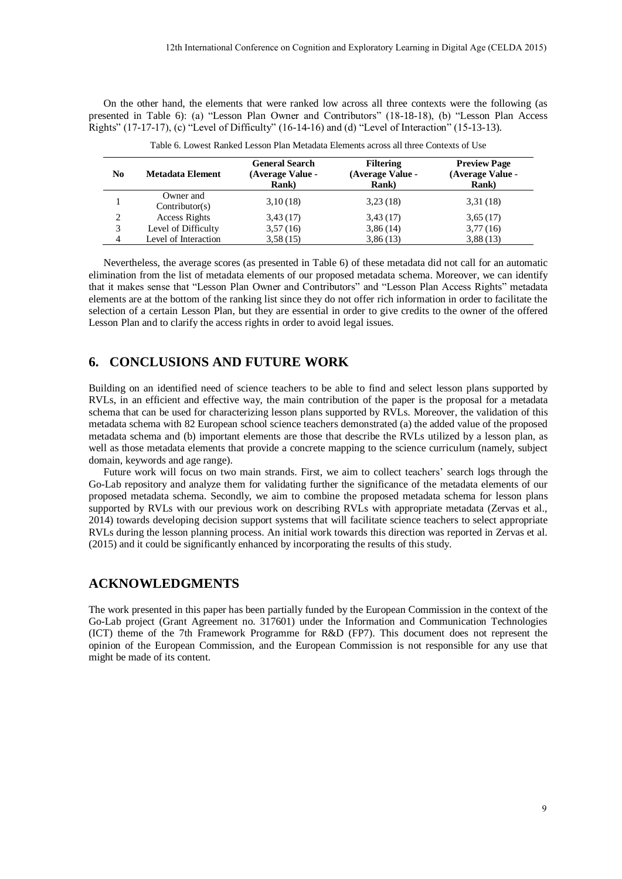|                |                                                                                         |                                                            | Table 6. Lowest Ranked Lesson Plan Metadata Elements across all three Contexts of Use |                                                                                                                                                                                                                                                                                                                                                                                                                                                                                                                                                                                                                                                                                                                                                                                                                                                                                                                                                                                                    |
|----------------|-----------------------------------------------------------------------------------------|------------------------------------------------------------|---------------------------------------------------------------------------------------|----------------------------------------------------------------------------------------------------------------------------------------------------------------------------------------------------------------------------------------------------------------------------------------------------------------------------------------------------------------------------------------------------------------------------------------------------------------------------------------------------------------------------------------------------------------------------------------------------------------------------------------------------------------------------------------------------------------------------------------------------------------------------------------------------------------------------------------------------------------------------------------------------------------------------------------------------------------------------------------------------|
| N <sub>0</sub> | <b>Metadata Element</b>                                                                 | <b>General Search</b><br>(Average Value -<br><b>Rank</b> ) | <b>Filtering</b><br>(Average Value -<br><b>Rank</b> )                                 | <b>Preview Page</b><br>(Average Value -<br><b>Rank</b> )                                                                                                                                                                                                                                                                                                                                                                                                                                                                                                                                                                                                                                                                                                                                                                                                                                                                                                                                           |
| $\mathbf{1}$   | Owner and<br>Contribution(s)                                                            | 3,10(18)                                                   | 3,23(18)                                                                              | 3,31(18)                                                                                                                                                                                                                                                                                                                                                                                                                                                                                                                                                                                                                                                                                                                                                                                                                                                                                                                                                                                           |
| $\overline{c}$ | <b>Access Rights</b>                                                                    | 3,43(17)                                                   | 3,43(17)                                                                              | 3,65(17)                                                                                                                                                                                                                                                                                                                                                                                                                                                                                                                                                                                                                                                                                                                                                                                                                                                                                                                                                                                           |
| 3<br>4         | Level of Difficulty<br>Level of Interaction                                             | 3,57(16)<br>3,58(15)                                       | 3,86(14)<br>3,86(13)                                                                  | 3,77(16)<br>3,88(13)                                                                                                                                                                                                                                                                                                                                                                                                                                                                                                                                                                                                                                                                                                                                                                                                                                                                                                                                                                               |
|                | <b>CONCLUSIONS AND FUTURE WORK</b>                                                      |                                                            |                                                                                       |                                                                                                                                                                                                                                                                                                                                                                                                                                                                                                                                                                                                                                                                                                                                                                                                                                                                                                                                                                                                    |
|                | main, keywords and age range).                                                          |                                                            |                                                                                       | ilding on an identified need of science teachers to be able to find and select lesson plans supported by<br>ILs, in an efficient and effective way, the main contribution of the paper is the proposal for a metadata<br>nema that can be used for characterizing lesson plans supported by RVLs. Moreover, the validation of this<br>etadata schema with 82 European school science teachers demonstrated (a) the added value of the proposed<br>extadata schema and (b) important elements are those that describe the RVLs utilized by a lesson plan, as<br>Il as those metadata elements that provide a concrete mapping to the science curriculum (namely, subject<br>Future work will focus on two main strands. First, we aim to collect teachers' search logs through the<br>-Lab repository and analyze them for validating further the significance of the metadata elements of our<br>oposed metadata schema. Secondly, we aim to combine the proposed metadata schema for lesson plans |
|                | 015) and it could be significantly enhanced by incorporating the results of this study. |                                                            |                                                                                       | pported by RVLs with our previous work on describing RVLs with appropriate metadata (Zervas et al.,<br>14) towards developing decision support systems that will facilitate science teachers to select appropriate<br>/Ls during the lesson planning process. An initial work towards this direction was reported in Zervas et al.                                                                                                                                                                                                                                                                                                                                                                                                                                                                                                                                                                                                                                                                 |
|                | <b>CKNOWLEDGMENTS</b>                                                                   |                                                            |                                                                                       |                                                                                                                                                                                                                                                                                                                                                                                                                                                                                                                                                                                                                                                                                                                                                                                                                                                                                                                                                                                                    |
|                | ght be made of its content.                                                             |                                                            |                                                                                       | e work presented in this paper has been partially funded by the European Commission in the context of the<br>-Lab project (Grant Agreement no. 317601) under the Information and Communication Technologies<br>T) theme of the 7th Framework Programme for R&D (FP7). This document does not represent the<br>inion of the European Commission, and the European Commission is not responsible for any use that                                                                                                                                                                                                                                                                                                                                                                                                                                                                                                                                                                                    |
|                |                                                                                         |                                                            |                                                                                       |                                                                                                                                                                                                                                                                                                                                                                                                                                                                                                                                                                                                                                                                                                                                                                                                                                                                                                                                                                                                    |
|                |                                                                                         |                                                            |                                                                                       |                                                                                                                                                                                                                                                                                                                                                                                                                                                                                                                                                                                                                                                                                                                                                                                                                                                                                                                                                                                                    |

| Table 6. Lowest Ranked Lesson Plan Metadata Elements across all three Contexts of Use |  |
|---------------------------------------------------------------------------------------|--|
|---------------------------------------------------------------------------------------|--|

# **6. CONCLUSIONS AND FUTURE WORK**

## **ACKNOWLEDGMENTS**